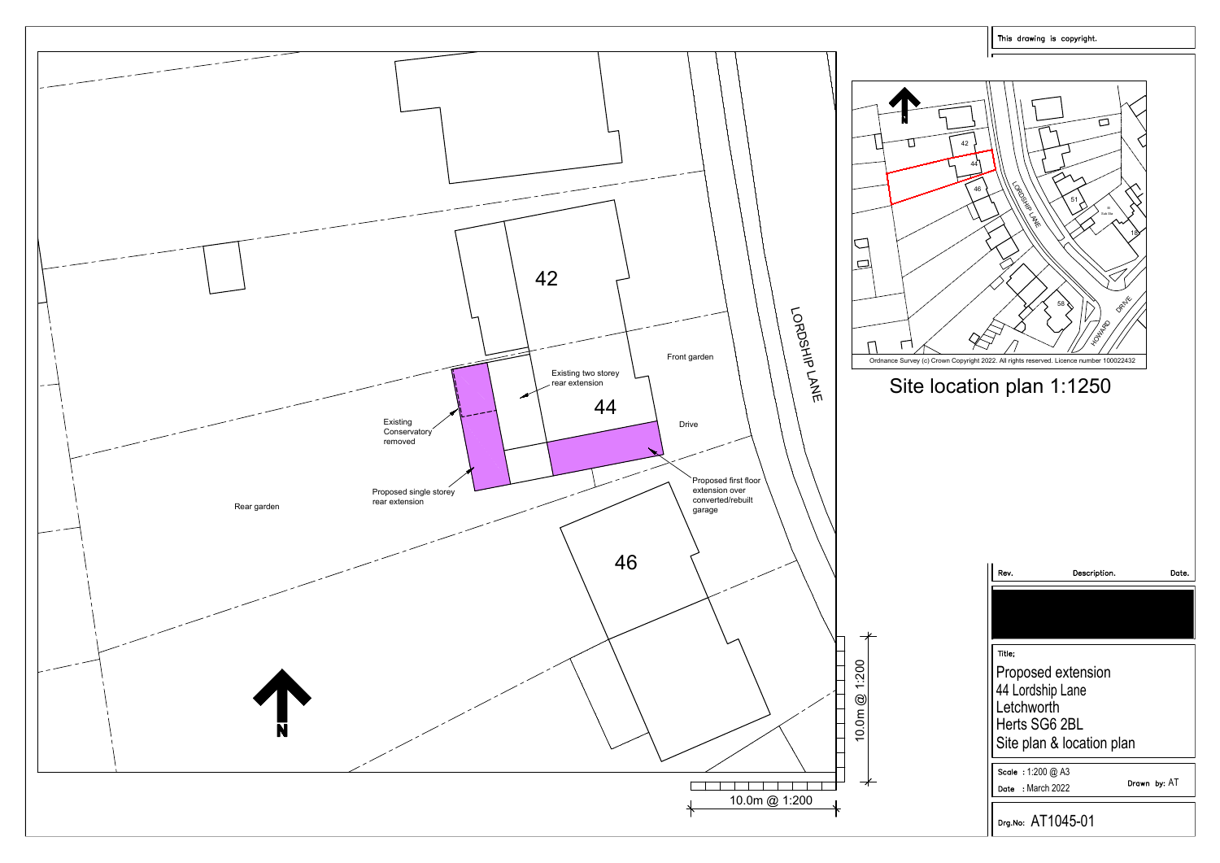

| This drawing is copyright. |                                                                                                                                                                                                                                 |  |  |  |  |  |
|----------------------------|---------------------------------------------------------------------------------------------------------------------------------------------------------------------------------------------------------------------------------|--|--|--|--|--|
| 42<br>44<br>46             | П<br>LORDER ATA DEFINE<br>51<br>$\boxminus$<br>Sub Sta<br>18<br>DRNW<br>58<br>HOMARD<br>Ordnance Survey (c) Crown Copyright 2022. All rights reserved. Licence number 100022432<br>Site location plan 1:1250                    |  |  |  |  |  |
| 10.0m @ 1:200              | Rev.<br>Description.<br>Date.<br>Title;<br>Proposed extension<br>44 Lordship Lane<br>Letchworth<br>Herts SG6 2BL<br>Site plan & location plan<br>Scale: 1:200 @ A3<br>Drawn by: AT<br>: March 2022<br>Date<br>Drg.No: AT1045-01 |  |  |  |  |  |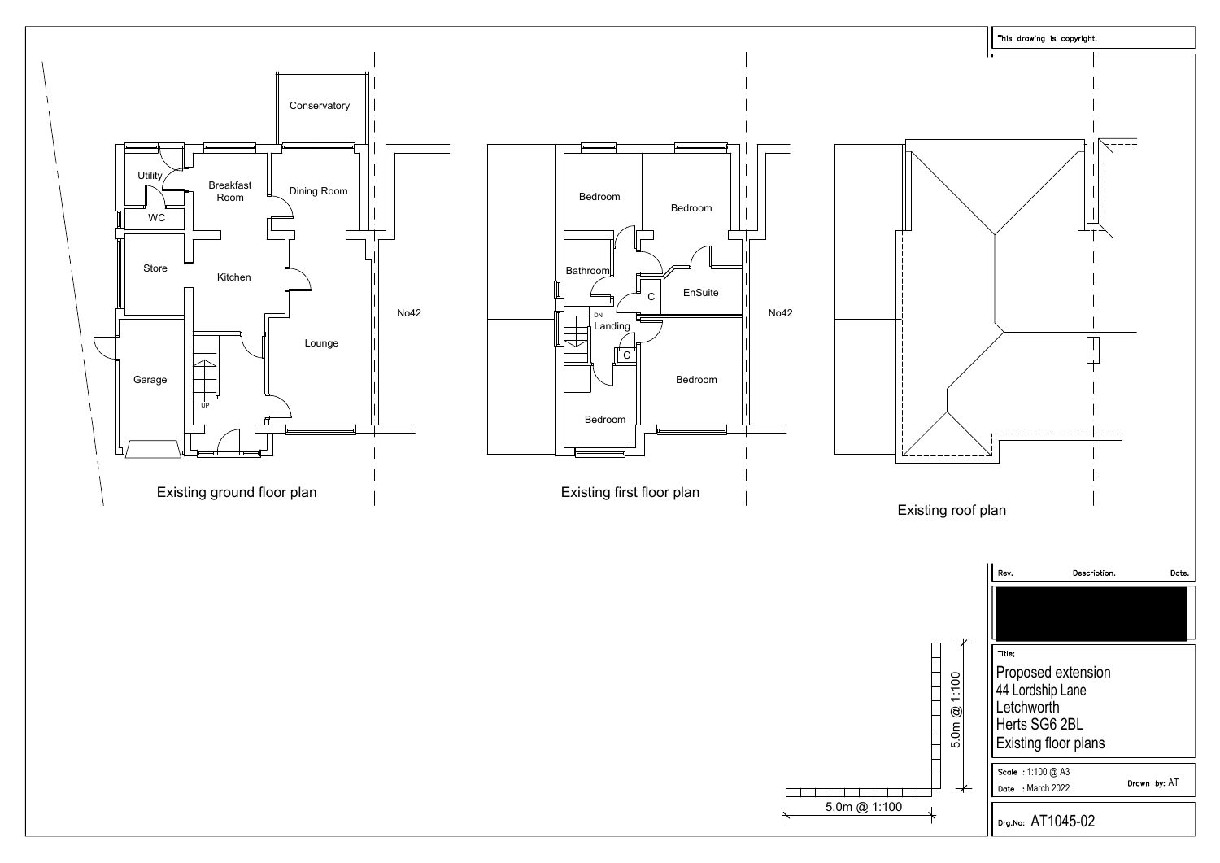

| 5.0m @ 1:100 |  |  |  |  |  |  |  |  |
|--------------|--|--|--|--|--|--|--|--|
|              |  |  |  |  |  |  |  |  |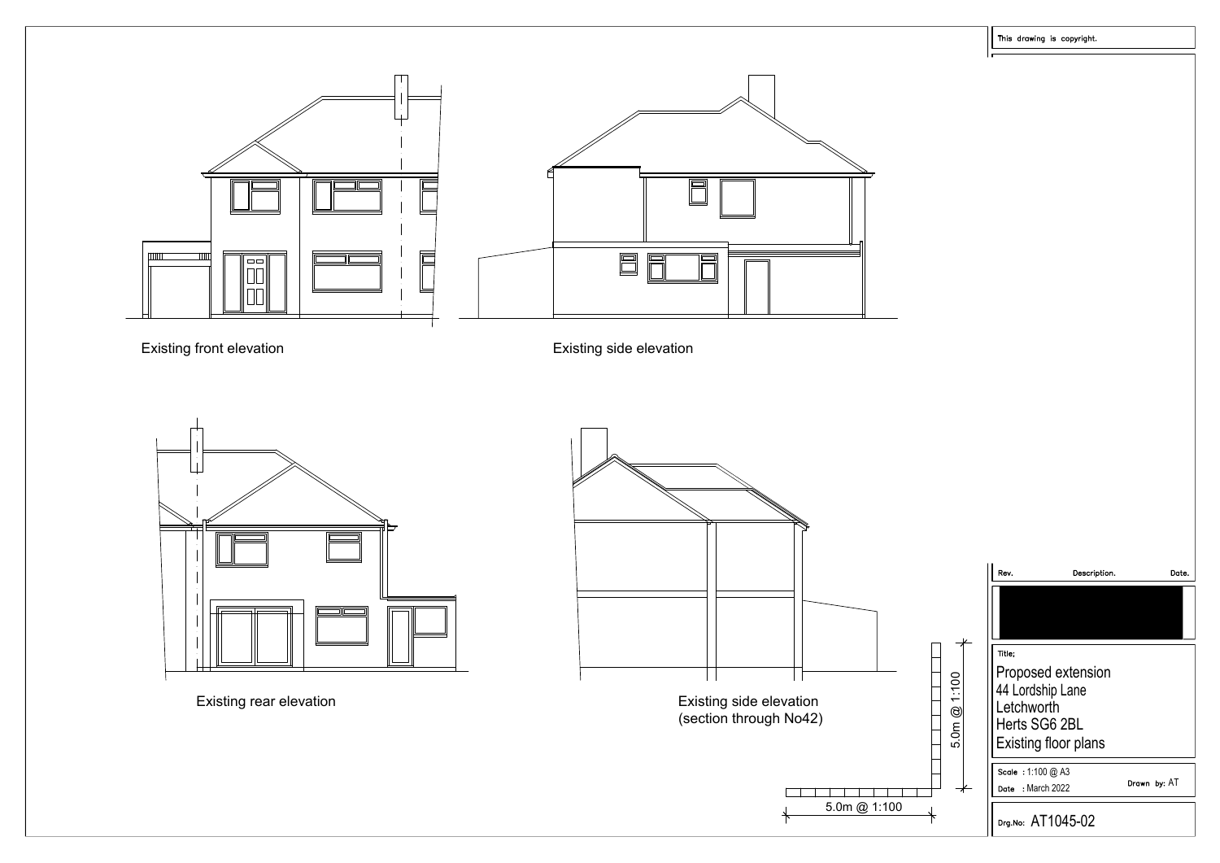





Existing side elevation<br>(section through No42)

| evation<br>(No42 ا |              |  |  |
|--------------------|--------------|--|--|
|                    |              |  |  |
|                    |              |  |  |
|                    |              |  |  |
|                    | 5.0m @ 1:100 |  |  |
|                    |              |  |  |

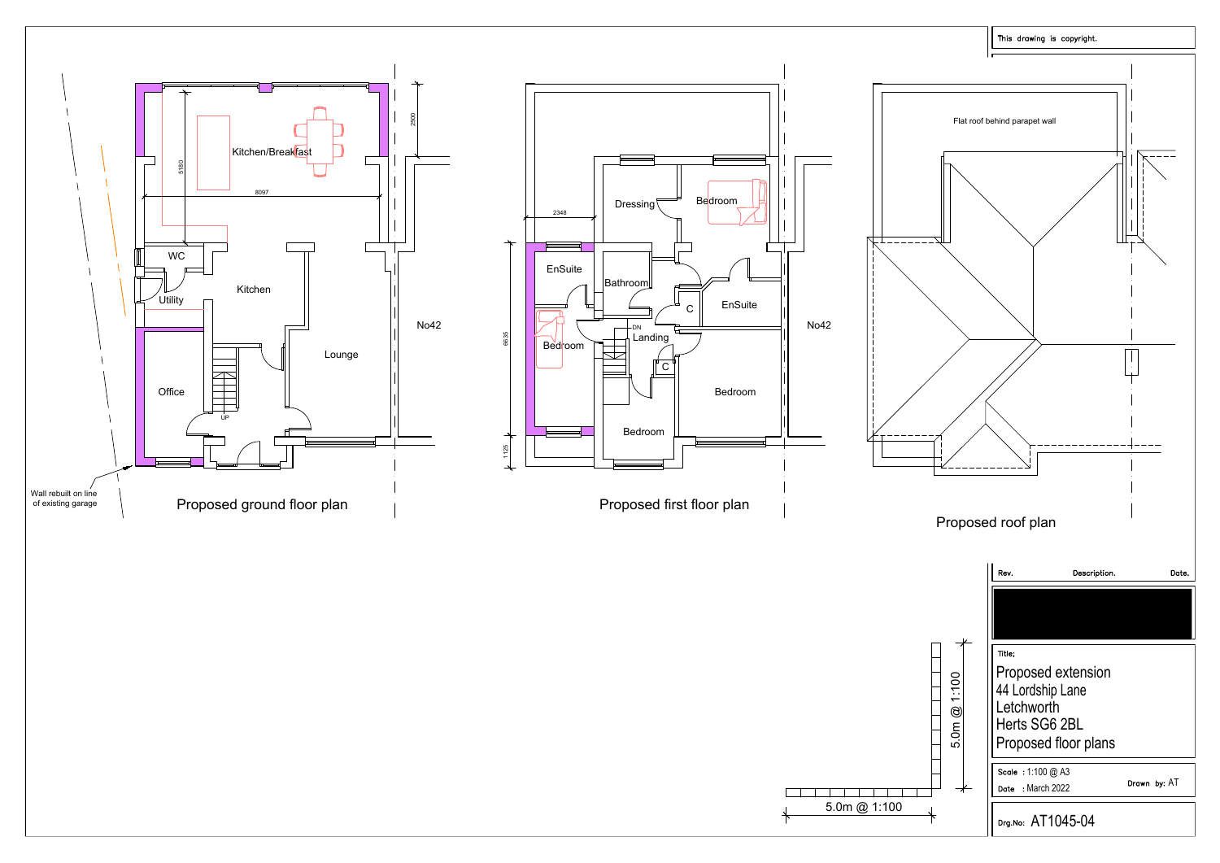